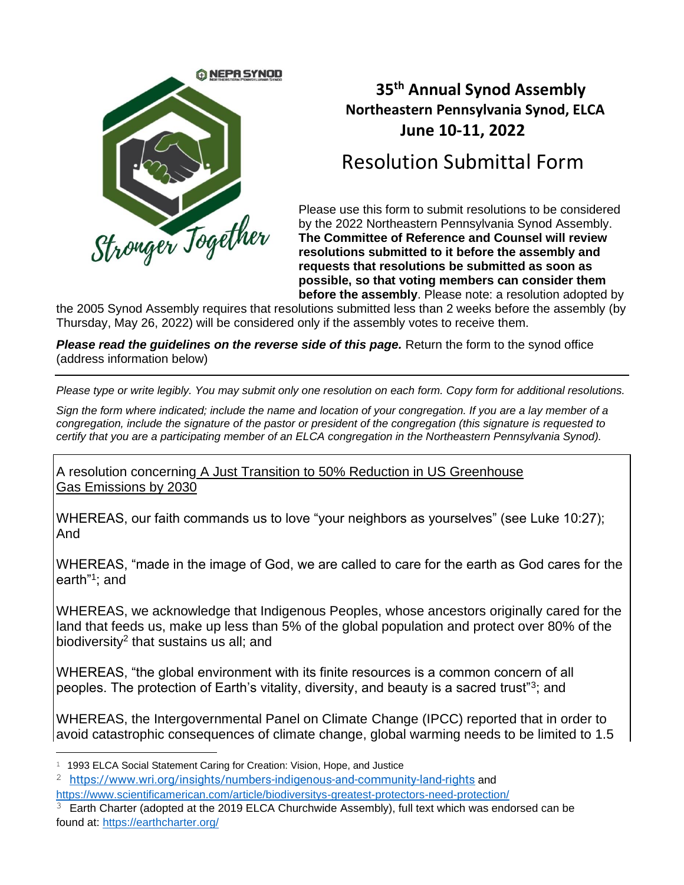

## **35 th Annual Synod Assembly Northeastern Pennsylvania Synod, ELCA June 10-11, 2022**

## Resolution Submittal Form

Please use this form to submit resolutions to be considered by the 2022 Northeastern Pennsylvania Synod Assembly. **The Committee of Reference and Counsel will review resolutions submitted to it before the assembly and requests that resolutions be submitted as soon as possible, so that voting members can consider them before the assembly**. Please note: a resolution adopted by

the 2005 Synod Assembly requires that resolutions submitted less than 2 weeks before the assembly (by Thursday, May 26, 2022) will be considered only if the assembly votes to receive them.

*Please read the guidelines on the reverse side of this page.* Return the form to the synod office (address information below)

*Please type or write legibly. You may submit only one resolution on each form. Copy form for additional resolutions.* 

*Sign the form where indicated; include the name and location of your congregation. If you are a lay member of a congregation, include the signature of the pastor or president of the congregation (this signature is requested to certify that you are a participating member of an ELCA congregation in the Northeastern Pennsylvania Synod).*

A resolution concerning A Just Transition to 50% Reduction in US Greenhouse Gas Emissions by 2030

WHEREAS, our faith commands us to love "your neighbors as yourselves" (see Luke 10:27); And

WHEREAS, "made in the image of God, we are called to care for the earth as God cares for the earth"<sup>1</sup>; and

WHEREAS, we acknowledge that Indigenous Peoples, whose ancestors originally cared for the land that feeds us, make up less than 5% of the global population and protect over 80% of the biodiversity<sup>2</sup> that sustains us all; and

WHEREAS, "the global environment with its finite resources is a common concern of all peoples. The protection of Earth's vitality, diversity, and beauty is a sacred trust"<sup>3</sup>; and

WHEREAS, the Intergovernmental Panel on Climate Change (IPCC) reported that in order to avoid catastrophic consequences of climate change, global warming needs to be limited to 1.5

<sup>&</sup>lt;sup>1</sup> 1993 ELCA Social Statement Caring for Creation: Vision, Hope, and Justice

<sup>2</sup> <https://www.wri.org/insights/numbers-indigenous-and-community-land-rights> and

<https://www.scientificamerican.com/article/biodiversitys-greatest-protectors-need-protection/>

 $3$  Earth Charter (adopted at the 2019 ELCA Churchwide Assembly), full text which was endorsed can be found at:<https://earthcharter.org/>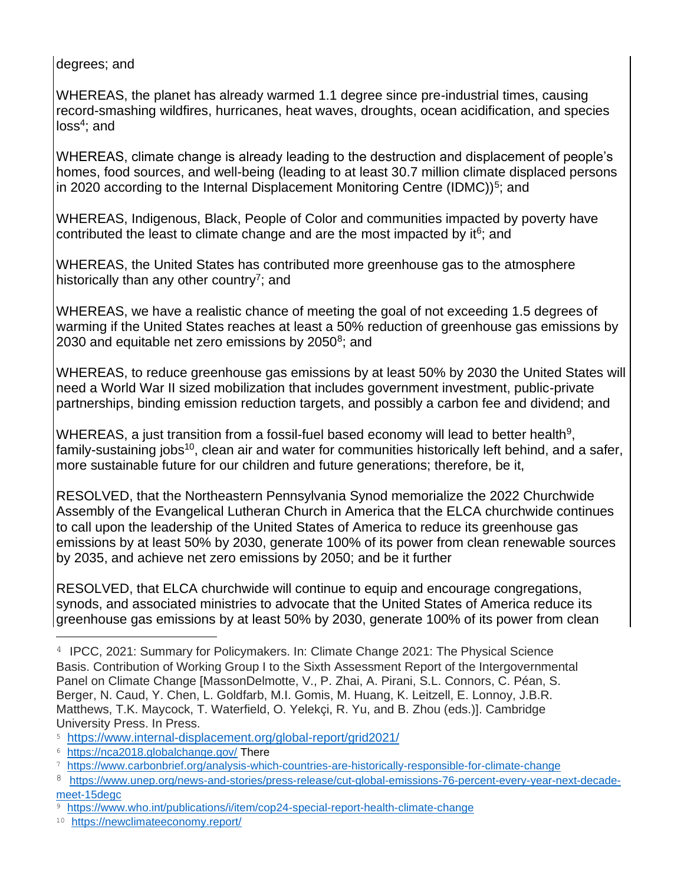degrees; and

WHEREAS, the planet has already warmed 1.1 degree since pre-industrial times, causing record-smashing wildfires, hurricanes, heat waves, droughts, ocean acidification, and species loss<sup>4</sup>; and

WHEREAS, climate change is already leading to the destruction and displacement of people's homes, food sources, and well-being (leading to at least 30.7 million climate displaced persons in 2020 according to the Internal Displacement Monitoring Centre (IDMC))<sup>5</sup>; and

WHEREAS, Indigenous, Black, People of Color and communities impacted by poverty have contributed the least to climate change and are the most impacted by it $6$ ; and

WHEREAS, the United States has contributed more greenhouse gas to the atmosphere historically than any other country<sup>7</sup>; and

WHEREAS, we have a realistic chance of meeting the goal of not exceeding 1.5 degrees of warming if the United States reaches at least a 50% reduction of greenhouse gas emissions by 2030 and equitable net zero emissions by 2050<sup>8</sup>; and

WHEREAS, to reduce greenhouse gas emissions by at least 50% by 2030 the United States will need a World War II sized mobilization that includes government investment, public-private partnerships, binding emission reduction targets, and possibly a carbon fee and dividend; and

WHEREAS, a just transition from a fossil-fuel based economy will lead to better health<sup>9</sup>, family-sustaining jobs<sup>10</sup>, clean air and water for communities historically left behind, and a safer, more sustainable future for our children and future generations; therefore, be it,

RESOLVED, that the Northeastern Pennsylvania Synod memorialize the 2022 Churchwide Assembly of the Evangelical Lutheran Church in America that the ELCA churchwide continues to call upon the leadership of the United States of America to reduce its greenhouse gas emissions by at least 50% by 2030, generate 100% of its power from clean renewable sources by 2035, and achieve net zero emissions by 2050; and be it further

RESOLVED, that ELCA churchwide will continue to equip and encourage congregations, synods, and associated ministries to advocate that the United States of America reduce its greenhouse gas emissions by at least 50% by 2030, generate 100% of its power from clean

<sup>4</sup> IPCC, 2021: Summary for Policymakers. In: Climate Change 2021: The Physical Science Basis. Contribution of Working Group I to the Sixth Assessment Report of the Intergovernmental Panel on Climate Change [MassonDelmotte, V., P. Zhai, A. Pirani, S.L. Connors, C. Péan, S. Berger, N. Caud, Y. Chen, L. Goldfarb, M.I. Gomis, M. Huang, K. Leitzell, E. Lonnoy, J.B.R. Matthews, T.K. Maycock, T. Waterfield, O. Yelekçi, R. Yu, and B. Zhou (eds.)]. Cambridge University Press. In Press.

<sup>5</sup> <https://www.internal-displacement.org/global-report/grid2021/>

<sup>6</sup> <https://nca2018.globalchange.gov/> There

<sup>7</sup> <https://www.carbonbrief.org/analysis-which-countries-are-historically-responsible-for-climate-change>

<sup>8</sup> [https://www.unep.org/news-and-stories/press-release/cut-global-emissions-76-percent-every-year-next-decade](https://www.unep.org/news-and-stories/press-release/cut-global-emissions-76-percent-every-year-next-decade-meet-15degc)[meet-15degc](https://www.unep.org/news-and-stories/press-release/cut-global-emissions-76-percent-every-year-next-decade-meet-15degc)

<sup>9</sup> <https://www.who.int/publications/i/item/cop24-special-report-health-climate-change>

<sup>10</sup> <https://newclimateeconomy.report/>